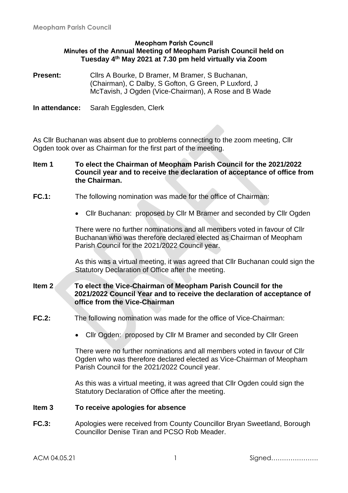#### **Meopham Parish Council Minutes of the Annual Meeting of Meopham Parish Council held on Tuesday 4 th May 2021 at 7.30 pm held virtually via Zoom**

**Present:** Cllrs A Bourke, D Bramer, M Bramer, S Buchanan, (Chairman), C Dalby, S Gofton, G Green, P Luxford, J McTavish, J Ogden (Vice-Chairman), A Rose and B Wade

**In attendance:** Sarah Egglesden, Clerk

As Cllr Buchanan was absent due to problems connecting to the zoom meeting, Cllr Ogden took over as Chairman for the first part of the meeting.

#### **Item 1 To elect the Chairman of Meopham Parish Council for the 2021/2022 Council year and to receive the declaration of acceptance of office from the Chairman.**

#### **FC.1:** The following nomination was made for the office of Chairman:

• Cllr Buchanan: proposed by Cllr M Bramer and seconded by Cllr Ogden

There were no further nominations and all members voted in favour of Cllr Buchanan who was therefore declared elected as Chairman of Meopham Parish Council for the 2021/2022 Council year.

As this was a virtual meeting, it was agreed that Cllr Buchanan could sign the Statutory Declaration of Office after the meeting.

#### **Item 2 To elect the Vice-Chairman of Meopham Parish Council for the 2021/2022 Council Year and to receive the declaration of acceptance of office from the Vice-Chairman**

- **FC.2:** The following nomination was made for the office of Vice-Chairman:
	- Cllr Ogden: proposed by Cllr M Bramer and seconded by Cllr Green

There were no further nominations and all members voted in favour of Cllr Ogden who was therefore declared elected as Vice-Chairman of Meopham Parish Council for the 2021/2022 Council year.

As this was a virtual meeting, it was agreed that Cllr Ogden could sign the Statutory Declaration of Office after the meeting.

#### **Item 3 To receive apologies for absence**

**FC.3:** Apologies were received from County Councillor Bryan Sweetland, Borough Councillor Denise Tiran and PCSO Rob Meader.

ACM 04.05.21 1 Signed………………….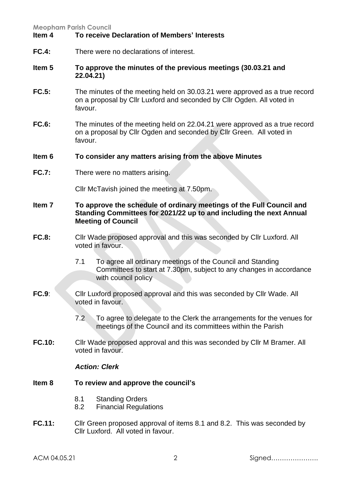## **Item 4 To receive Declaration of Members' Interests**

**FC.4:** There were no declarations of interest.

#### **Item 5 To approve the minutes of the previous meetings (30.03.21 and 22.04.21)**

- **FC.5:** The minutes of the meeting held on 30.03.21 were approved as a true record on a proposal by Cllr Luxford and seconded by Cllr Ogden. All voted in favour.
- **FC.6:** The minutes of the meeting held on 22.04.21 were approved as a true record on a proposal by Cllr Ogden and seconded by Cllr Green. All voted in favour.

#### **Item 6 To consider any matters arising from the above Minutes**

**FC.7:** There were no matters arising.

Cllr McTavish joined the meeting at 7.50pm.

- **Item 7 To approve the schedule of ordinary meetings of the Full Council and Standing Committees for 2021/22 up to and including the next Annual Meeting of Council**
- **FC.8:** Cllr Wade proposed approval and this was seconded by Cllr Luxford. All voted in favour.
	- 7.1 To agree all ordinary meetings of the Council and Standing Committees to start at 7.30pm, subject to any changes in accordance with council policy
- **FC.9:** Cllr Luxford proposed approval and this was seconded by Cllr Wade. All voted in favour.
	- 7.2 To agree to delegate to the Clerk the arrangements for the venues for meetings of the Council and its committees within the Parish
- **FC.10:** Cllr Wade proposed approval and this was seconded by Cllr M Bramer. All voted in favour.

#### *Action: Clerk*

#### **Item 8 To review and approve the council's**

- 8.1 Standing Orders
- 8.2 Financial Regulations
- **FC.11:** Cllr Green proposed approval of items 8.1 and 8.2. This was seconded by Cllr Luxford. All voted in favour.

ACM 04.05.21 2 Signed………………….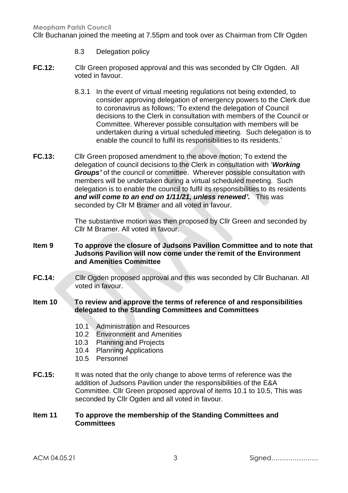Cllr Buchanan joined the meeting at 7.55pm and took over as Chairman from Cllr Ogden

- 8.3 Delegation policy
- **FC.12:** Cllr Green proposed approval and this was seconded by Cllr Ogden. All voted in favour.
	- 8.3.1 In the event of virtual meeting regulations not being extended, to consider approving delegation of emergency powers to the Clerk due to coronavirus as follows; 'To extend the delegation of Council decisions to the Clerk in consultation with members of the Council or Committee. Wherever possible consultation with members will be undertaken during a virtual scheduled meeting. Such delegation is to enable the council to fulfil its responsibilities to its residents.'
- **FC.13:** Cllr Green proposed amendment to the above motion; To extend the delegation of council decisions to the Clerk in consultation with '*Working Groups'* of the council or committee. Wherever possible consultation with members will be undertaken during a virtual scheduled meeting. Such delegation is to enable the council to fulfil its responsibilities to its residents *and will come to an end on 1/11/21, unless renewed'.* This was seconded by Cllr M Bramer and all voted in favour.

The substantive motion was then proposed by Cllr Green and seconded by Cllr M Bramer. All voted in favour.

- **Item 9 To approve the closure of Judsons Pavilion Committee and to note that Judsons Pavilion will now come under the remit of the Environment and Amenities Committee**
- **FC.14:** Cllr Ogden proposed approval and this was seconded by Cllr Buchanan. All voted in favour.

## **Item 10 To review and approve the terms of reference of and responsibilities delegated to the Standing Committees and Committees**

- 10.1 Administration and Resources
- 10.2 Environment and Amenities
- 10.3 Planning and Projects
- 10.4 Planning Applications
- 10.5 Personnel
- **FC.15:** It was noted that the only change to above terms of reference was the addition of Judsons Pavilion under the responsibilities of the E&A Committee. Cllr Green proposed approval of items 10.1 to 10.5, This was seconded by Cllr Ogden and all voted in favour.

## **Item 11 To approve the membership of the Standing Committees and Committees**

ACM 04.05.21 3 Signed………………….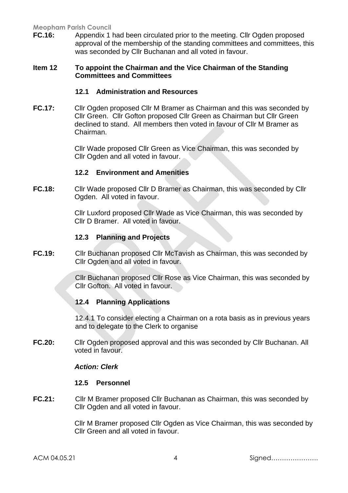**FC.16:** Appendix 1 had been circulated prior to the meeting. Cllr Ogden proposed approval of the membership of the standing committees and committees, this was seconded by Cllr Buchanan and all voted in favour.

#### **Item 12 To appoint the Chairman and the Vice Chairman of the Standing Committees and Committees**

# **12.1 Administration and Resources**

**FC.17:** Cllr Ogden proposed Cllr M Bramer as Chairman and this was seconded by Cllr Green. Cllr Gofton proposed Cllr Green as Chairman but Cllr Green declined to stand. All members then voted in favour of Cllr M Bramer as Chairman.

> Cllr Wade proposed Cllr Green as Vice Chairman, this was seconded by Cllr Ogden and all voted in favour.

## **12.2 Environment and Amenities**

**FC.18:** Cllr Wade proposed Cllr D Bramer as Chairman, this was seconded by Cllr Ogden. All voted in favour.

> Cllr Luxford proposed Cllr Wade as Vice Chairman, this was seconded by Cllr D Bramer. All voted in favour.

## **12.3 Planning and Projects**

**FC.19:** Cllr Buchanan proposed Cllr McTavish as Chairman, this was seconded by Cllr Ogden and all voted in favour.

> Cllr Buchanan proposed Cllr Rose as Vice Chairman, this was seconded by Cllr Gofton. All voted in favour.

# **12.4 Planning Applications**

12.4.1 To consider electing a Chairman on a rota basis as in previous years and to delegate to the Clerk to organise

**FC.20:** Cllr Ogden proposed approval and this was seconded by Cllr Buchanan. All voted in favour.

#### *Action: Clerk*

#### **12.5 Personnel**

**FC.21:** Cllr M Bramer proposed Cllr Buchanan as Chairman, this was seconded by Cllr Ogden and all voted in favour.

> Cllr M Bramer proposed Cllr Ogden as Vice Chairman, this was seconded by Cllr Green and all voted in favour.

ACM 04.05.21 4 Signed………………….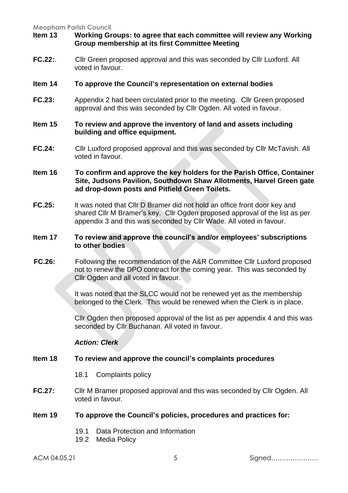## **Item 13 Working Groups: to agree that each committee will review any Working Group membership at its first Committee Meeting**

**FC.22:**. Cllr Green proposed approval and this was seconded by Cllr Luxford. All voted in favour.

#### **Item 14 To approve the Council's representation on external bodies**

**FC.23:** Appendix 2 had been circulated prior to the meeting. Cllr Green proposed approval and this was seconded by Cllr Ogden. All voted in favour.

#### **Item 15 To review and approve the inventory of land and assets including building and office equipment.**

- **FC.24:** Cllr Luxford proposed approval and this was seconded by Cllr McTavish. All voted in favour.
- **Item 16 To confirm and approve the key holders for the Parish Office, Container Site, Judsons Pavilion, Southdown Shaw Allotments, Harvel Green gate ad drop-down posts and Pitfield Green Toilets.**
- **FC.25:** It was noted that Cllr D Bramer did not hold an office front door key and shared Cllr M Bramer's key. Cllr Ogden proposed approval of the list as per appendix 3 and this was seconded by Cllr Wade. All voted in favour.

#### **Item 17 To review and approve the council's and/or employees' subscriptions to other bodies**

**FC.26:** Following the recommendation of the A&R Committee Cllr Luxford proposed not to renew the DPO contract for the coming year. This was seconded by Cllr Ogden and all voted in favour.

> It was noted that the SLCC would not be renewed yet as the membership belonged to the Clerk. This would be renewed when the Clerk is in place.

Cllr Ogden then proposed approval of the list as per appendix 4 and this was seconded by Cllr Buchanan. All voted in favour.

#### *Action: Clerk*

## **Item 18 To review and approve the council's complaints procedures**

- 18.1 Complaints policy
- **FC.27:** Cllr M Bramer proposed approval and this was seconded by Cllr Ogden. All voted in favour.

#### **Item 19 To approve the Council's policies, procedures and practices for:**

- 19.1 Data Protection and Information
- 19.2 Media Policy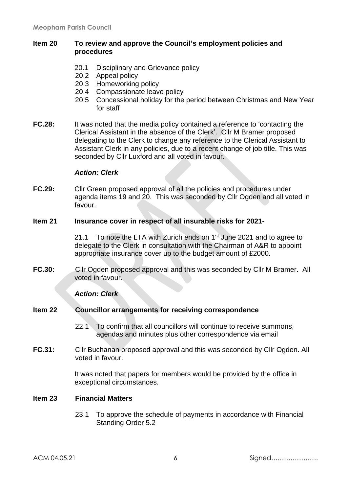#### **Item 20 To review and approve the Council's employment policies and procedures**

- 20.1 Disciplinary and Grievance policy
- 20.2 Appeal policy
- 20.3 Homeworking policy
- 20.4 Compassionate leave policy
- 20.5 Concessional holiday for the period between Christmas and New Year for staff
- **FC.28:** It was noted that the media policy contained a reference to 'contacting the Clerical Assistant in the absence of the Clerk'. Cllr M Bramer proposed delegating to the Clerk to change any reference to the Clerical Assistant to Assistant Clerk in any policies, due to a recent change of job title. This was seconded by Cllr Luxford and all voted in favour.

#### *Action: Clerk*

**FC.29:** Cllr Green proposed approval of all the policies and procedures under agenda items 19 and 20. This was seconded by Cllr Ogden and all voted in favour.

#### **Item 21 Insurance cover in respect of all insurable risks for 2021-**

21.1 To note the LTA with Zurich ends on  $1<sup>st</sup>$  June 2021 and to agree to delegate to the Clerk in consultation with the Chairman of A&R to appoint appropriate insurance cover up to the budget amount of £2000.

**FC.30:** Cllr Ogden proposed approval and this was seconded by Cllr M Bramer. All voted in favour.

#### *Action: Clerk*

#### **Item 22 Councillor arrangements for receiving correspondence**

- 22.1 To confirm that all councillors will continue to receive summons, agendas and minutes plus other correspondence via email
- **FC.31:** Cllr Buchanan proposed approval and this was seconded by Cllr Ogden. All voted in favour.

It was noted that papers for members would be provided by the office in exceptional circumstances.

#### **Item 23 Financial Matters**

23.1 To approve the schedule of payments in accordance with Financial Standing Order 5.2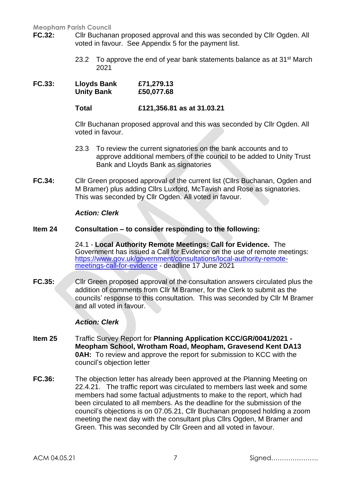- **FC.32:** Cllr Buchanan proposed approval and this was seconded by Cllr Ogden. All voted in favour. See Appendix 5 for the payment list.
	- 23.2 To approve the end of year bank statements balance as at  $31<sup>st</sup>$  March 2021
- **FC.33: Lloyds Bank £71,279.13 Unity Bank £50,077.68**

**Total £121,356.81 as at 31.03.21**

Cllr Buchanan proposed approval and this was seconded by Cllr Ogden. All voted in favour.

- 23.3 To review the current signatories on the bank accounts and to approve additional members of the council to be added to Unity Trust Bank and Lloyds Bank as signatories
- **FC.34:** Cllr Green proposed approval of the current list (Cllrs Buchanan, Ogden and M Bramer) plus adding Cllrs Luxford, McTavish and Rose as signatories. This was seconded by Cllr Ogden. All voted in favour.

#### *Action: Clerk*

## **Item 24 Consultation – to consider responding to the following:**

24.1 - **Local Authority Remote Meetings: Call for Evidence.** The Government has issued a Call for Evidence on the use of remote meetings: [https://www.gov.uk/government/consultations/local-authority-remote](https://www.gov.uk/government/consultations/local-authority-remote-meetings-call-for-evidence)[meetings-call-for-evidence](https://www.gov.uk/government/consultations/local-authority-remote-meetings-call-for-evidence) - deadline 17 June 2021

**FC.35:** Cllr Green proposed approval of the consultation answers circulated plus the addition of comments from Cllr M Bramer, for the Clerk to submit as the councils' response to this consultation. This was seconded by Cllr M Bramer and all voted in favour.

#### *Action: Clerk*

- **Item 25** Traffic Survey Report for **Planning Application KCC/GR/0041/2021 - Meopham School, Wrotham Road, Meopham, Gravesend Kent DA13 0AH:** To review and approve the report for submission to KCC with the council's objection letter
- **FC.36:** The objection letter has already been approved at the Planning Meeting on 22.4.21. The traffic report was circulated to members last week and some members had some factual adjustments to make to the report, which had been circulated to all members. As the deadline for the submission of the council's objections is on 07.05.21, Cllr Buchanan proposed holding a zoom meeting the next day with the consultant plus Cllrs Ogden, M Bramer and Green. This was seconded by Cllr Green and all voted in favour.

ACM 04.05.21 7 Signed………………….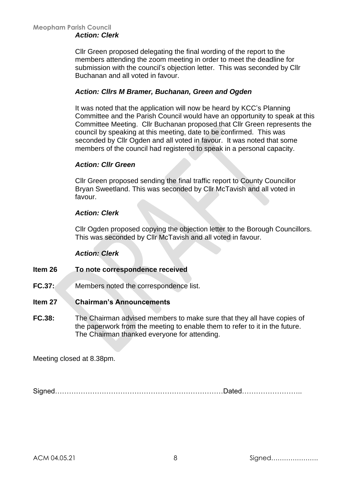Cllr Green proposed delegating the final wording of the report to the members attending the zoom meeting in order to meet the deadline for submission with the council's objection letter. This was seconded by Cllr Buchanan and all voted in favour.

## *Action: Cllrs M Bramer, Buchanan, Green and Ogden*

It was noted that the application will now be heard by KCC's Planning Committee and the Parish Council would have an opportunity to speak at this Committee Meeting. Cllr Buchanan proposed that Cllr Green represents the council by speaking at this meeting, date to be confirmed. This was seconded by Cllr Ogden and all voted in favour. It was noted that some members of the council had registered to speak in a personal capacity.

#### *Action: Cllr Green*

Cllr Green proposed sending the final traffic report to County Councillor Bryan Sweetland. This was seconded by Cllr McTavish and all voted in favour.

## *Action: Clerk*

Cllr Ogden proposed copying the objection letter to the Borough Councillors. This was seconded by Cllr McTavish and all voted in favour.

#### *Action: Clerk*

- **Item 26 To note correspondence received**
- **FC.37:** Members noted the correspondence list.

#### **Item 27 Chairman's Announcements**

**FC.38:** The Chairman advised members to make sure that they all have copies of the paperwork from the meeting to enable them to refer to it in the future. The Chairman thanked everyone for attending.

Meeting closed at 8.38pm.

Signed………………………………………………………………Dated……………………..

ACM 04.05.21 8 Signed………………….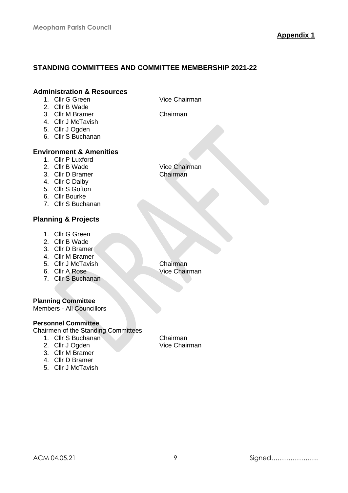# **STANDING COMMITTEES AND COMMITTEE MEMBERSHIP 2021-22**

#### **Administration & Resources**

- 1. Cllr G Green Vice Chairman
- 2. Cllr B Wade
- 3. Cllr M Bramer Chairman
- 4. Cllr J McTavish
- 5. Cllr J Ogden
- 6. Cllr S Buchanan

## **Environment & Amenities**

- 1. Cllr P Luxford<br>2. Cllr B Wade
- 
- 3. Cllr D Bramer
- 4. Cllr C Dalby
- 5. Cllr S Gofton
- 6. Cllr Bourke
- 7. Cllr S Buchanan

## **Planning & Projects**

- 1. Cllr G Green
- 2. Cllr B Wade
- 3. Cllr D Bramer
- 4. Cllr M Bramer
- 5. Cllr J McTavish Chairman
- 
- 7. Cllr S Buchanan

#### **Planning Committee**

Members - All Councillors

#### **Personnel Committee**

Chairmen of the Standing Committees

- 1. Cllr S Buchanan Chairman
- 2. Cllr J Ogden Vice Chairman
- 3. Cllr M Bramer
- 4. Cllr D Bramer
- 5. Cllr J McTavish

Vice Chairman<br>Chairman

6. Cllr A Rose Vice Chairman

ACM 04.05.21 9 Signed………………….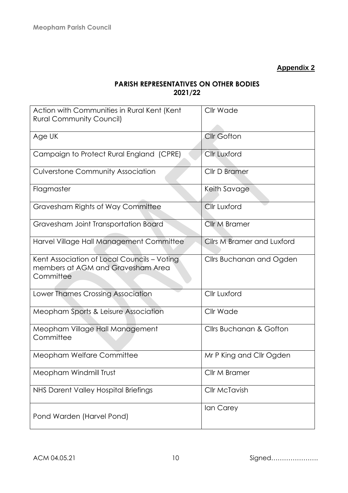# **PARISH REPRESENTATIVES ON OTHER BODIES 2021/22**

| Action with Communities in Rural Kent (Kent                                                   | Cllr Wade                          |
|-----------------------------------------------------------------------------------------------|------------------------------------|
| <b>Rural Community Council)</b>                                                               |                                    |
|                                                                                               |                                    |
| Age UK                                                                                        | <b>Cllr Gofton</b>                 |
| Campaign to Protect Rural England (CPRE)                                                      | <b>Cllr Luxford</b>                |
| <b>Culverstone Community Association</b>                                                      | Cllr D Bramer                      |
| Flagmaster                                                                                    | Keith Savage                       |
| Gravesham Rights of Way Committee                                                             | <b>Cllr Luxford</b>                |
| Gravesham Joint Transportation Board                                                          | Cllr M Bramer                      |
| Harvel Village Hall Management Committee                                                      | <b>Cllrs M Bramer and Luxford</b>  |
| Kent Association of Local Councils - Voting<br>members at AGM and Gravesham Area<br>Committee | Cllrs Buchanan and Ogden           |
| Lower Thames Crossing Association                                                             | <b>Cllr Luxford</b>                |
| Meopham Sports & Leisure Association                                                          | Cllr Wade                          |
| Meopham Village Hall Management<br>Committee                                                  | <b>Cllrs Buchanan &amp; Gofton</b> |
| Meopham Welfare Committee                                                                     | Mr P King and Cllr Ogden           |
| Meopham Windmill Trust                                                                        | Cllr M Bramer                      |
| NHS Darent Valley Hospital Briefings                                                          | <b>Cllr McTavish</b>               |
| Pond Warden (Harvel Pond)                                                                     | lan Carey                          |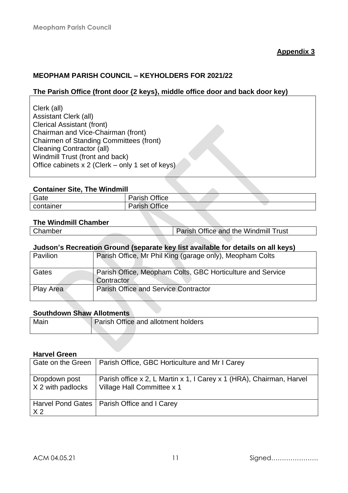# **MEOPHAM PARISH COUNCIL – KEYHOLDERS FOR 2021/22**

# **The Parish Office (front door {2 keys}, middle office door and back door key)**

## **Container Site, The Windmill**

| Gate      | Office<br>Dorich  |  |  |
|-----------|-------------------|--|--|
| container | Office<br>$D - 1$ |  |  |

# **The Windmill Chamber**

| Chamber | Parish Office and the Windmill Trust |
|---------|--------------------------------------|
|         |                                      |

# **Judson's Recreation Ground (separate key list available for details on all keys)**

| Pavilion  | Parish Office, Mr Phil King (garage only), Meopham Colts                 |
|-----------|--------------------------------------------------------------------------|
| Gates     | Parish Office, Meopham Colts, GBC Horticulture and Service<br>Contractor |
| Play Area | <b>Parish Office and Service Contractor</b>                              |

#### **Southdown Shaw Allotments**

| Main | Parish Office and allotment holders |
|------|-------------------------------------|
|      |                                     |

#### **Harvel Green**

| Gate on the Green                    | Parish Office, GBC Horticulture and Mr I Carey                                                     |
|--------------------------------------|----------------------------------------------------------------------------------------------------|
| Dropdown post<br>$X$ 2 with padlocks | Parish office x 2, L Martin x 1, I Carey x 1 (HRA), Chairman, Harvel<br>Village Hall Committee x 1 |
| X <sub>2</sub>                       | Harvel Pond Gates   Parish Office and I Carey                                                      |

ACM 04.05.21 11 Signed………………….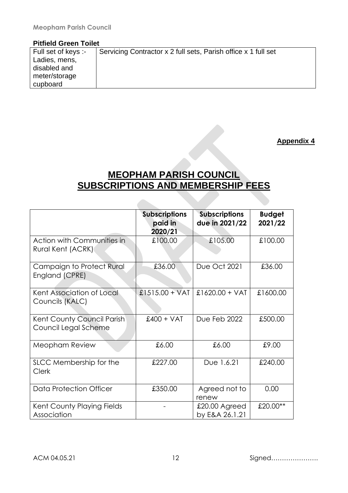## **Pitfield Green Toilet**

| Full set of keys :- | Servicing Contractor x 2 full sets, Parish office x 1 full set |
|---------------------|----------------------------------------------------------------|
| Ladies, mens,       |                                                                |
| disabled and        |                                                                |
| meter/storage       |                                                                |
| cupboard            |                                                                |

**Appendix 4**

# **MEOPHAM PARISH COUNCIL SUBSCRIPTIONS AND MEMBERSHIP FEES**

 $\triangle$ 

|                                                        | <b>Subscriptions</b><br>paid in<br>2020/21 | <b>Subscriptions</b><br>due in 2021/22 | <b>Budget</b><br>2021/22 |
|--------------------------------------------------------|--------------------------------------------|----------------------------------------|--------------------------|
| <b>Action with Communities in</b><br>Rural Kent (ACRK) | £100.00                                    | £105.00                                | £100.00                  |
| <b>Campaign to Protect Rural</b><br>England (CPRE)     | £36.00                                     | <b>Due Oct 2021</b>                    | £36.00                   |
| Kent Association of Local<br>Councils (KALC)           | £1515.00 + VAT                             | $£1620.00 + VAT$                       | £1600.00                 |
| Kent County Council Parish<br>Council Legal Scheme     | $£400 + VAT$                               | Due Feb 2022                           | £500.00                  |
| Meopham Review                                         | £6.00                                      | £6.00                                  | £9.00                    |
| SLCC Membership for the<br><b>Clerk</b>                | £227.00                                    | Due 1.6.21                             | £240.00                  |
| <b>Data Protection Officer</b>                         | £350.00                                    | Agreed not to<br>renew                 | 0.00                     |
| Kent County Playing Fields<br>Association              |                                            | £20.00 Agreed<br>by E&A 26.1.21        | £20.00**                 |

ACM 04.05.21 12 Signed………………….